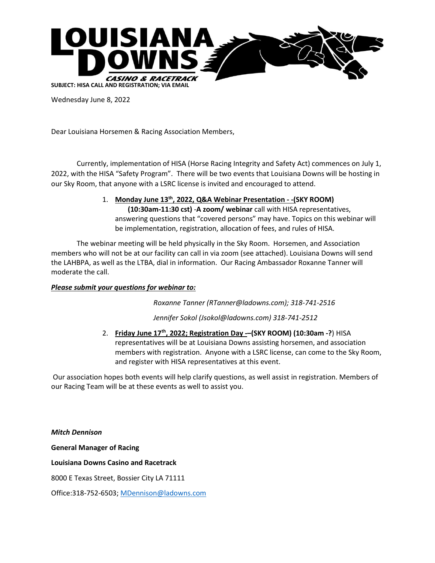

Wednesday June 8, 2022

Dear Louisiana Horsemen & Racing Association Members,

Currently, implementation of HISA (Horse Racing Integrity and Safety Act) commences on July 1, 2022, with the HISA "Safety Program". There will be two events that Louisiana Downs will be hosting in our Sky Room, that anyone with a LSRC license is invited and encouraged to attend.

> 1. **Monday June 13th , 2022, Q&A Webinar Presentation - -(SKY ROOM) (10:30am-11:30 cst)** -**A zoom/ webinar** call with HISA representatives, answering questions that "covered persons" may have. Topics on this webinar will be implementation, registration, allocation of fees, and rules of HISA.

The webinar meeting will be held physically in the Sky Room. Horsemen, and Association members who will not be at our facility can call in via zoom (see attached). Louisiana Downs will send the LAHBPA, as well as the LTBA, dial in information. Our Racing Ambassador Roxanne Tanner will moderate the call.

## *Please submit your questions for webinar to:*

*Roxanne Tanner (RTanner@ladowns.com); 318-741-2516*

*Jennifer Sokol (Jsokol@ladowns.com) 318-741-2512*

2. **Friday June 17th , 2022; Registration Day -–(SKY ROOM) (10:30am -?**) HISA representatives will be at Louisiana Downs assisting horsemen, and association members with registration. Anyone with a LSRC license, can come to the Sky Room, and register with HISA representatives at this event.

Our association hopes both events will help clarify questions, as well assist in registration. Members of our Racing Team will be at these events as well to assist you.

*Mitch Dennison*  **General Manager of Racing Louisiana Downs Casino and Racetrack**  8000 E Texas Street, Bossier City LA 71111

Office:318-752-6503[; MDennison@ladowns.com](mailto:MDennison@ladowns.com)